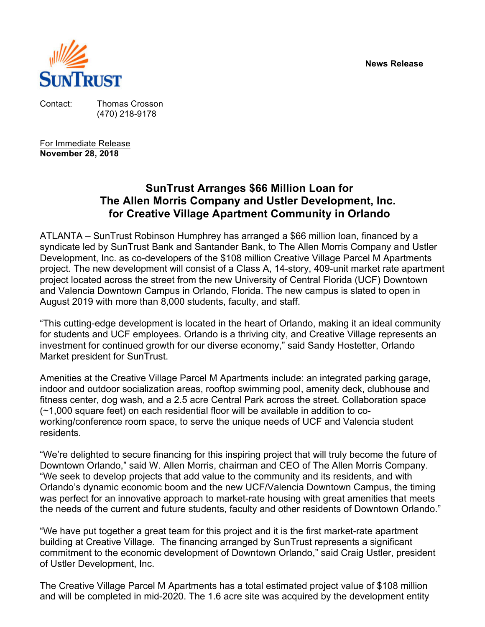**News Release**



Contact: Thomas Crosson (470) 218-9178

For Immediate Release **November 28, 2018**

# **SunTrust Arranges \$66 Million Loan for The Allen Morris Company and Ustler Development, Inc. for Creative Village Apartment Community in Orlando**

ATLANTA – SunTrust Robinson Humphrey has arranged a \$66 million loan, financed by a syndicate led by SunTrust Bank and Santander Bank, to The Allen Morris Company and Ustler Development, Inc. as co-developers of the \$108 million Creative Village Parcel M Apartments project. The new development will consist of a Class A, 14-story, 409-unit market rate apartment project located across the street from the new University of Central Florida (UCF) Downtown and Valencia Downtown Campus in Orlando, Florida. The new campus is slated to open in August 2019 with more than 8,000 students, faculty, and staff.

"This cutting-edge development is located in the heart of Orlando, making it an ideal community for students and UCF employees. Orlando is a thriving city, and Creative Village represents an investment for continued growth for our diverse economy," said Sandy Hostetter, Orlando Market president for SunTrust.

Amenities at the Creative Village Parcel M Apartments include: an integrated parking garage, indoor and outdoor socialization areas, rooftop swimming pool, amenity deck, clubhouse and fitness center, dog wash, and a 2.5 acre Central Park across the street. Collaboration space (~1,000 square feet) on each residential floor will be available in addition to coworking/conference room space, to serve the unique needs of UCF and Valencia student residents.

"We're delighted to secure financing for this inspiring project that will truly become the future of Downtown Orlando," said W. Allen Morris, chairman and CEO of The Allen Morris Company. "We seek to develop projects that add value to the community and its residents, and with Orlando's dynamic economic boom and the new UCF/Valencia Downtown Campus, the timing was perfect for an innovative approach to market-rate housing with great amenities that meets the needs of the current and future students, faculty and other residents of Downtown Orlando."

"We have put together a great team for this project and it is the first market-rate apartment building at Creative Village. The financing arranged by SunTrust represents a significant commitment to the economic development of Downtown Orlando," said Craig Ustler, president of Ustler Development, Inc.

The Creative Village Parcel M Apartments has a total estimated project value of \$108 million and will be completed in mid-2020. The 1.6 acre site was acquired by the development entity